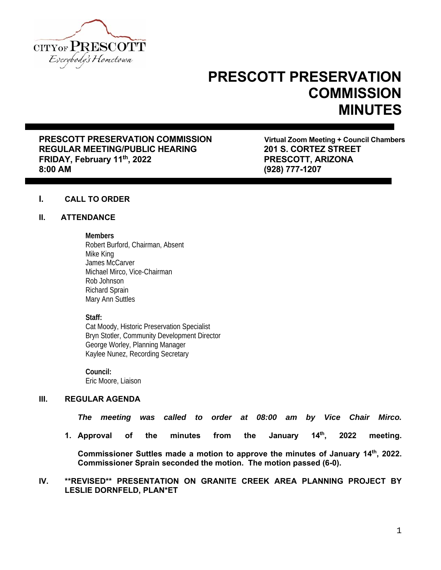

# **PRESCOTT PRESERVATION COMMISSION MINUTES**

**PRESCOTT PRESERVATION COMMISSION** Virtual Zoom Meeting + Council Chambers **REGULAR MEETING/PUBLIC HEARING 201 S. CORTEZ STREET**  FRIDAY, February 11<sup>th</sup>, 2022 **PRESCOTT, ARIZONA 8:00 AM (928) 777-1207** 

# **I. CALL TO ORDER**

#### **II. ATTENDANCE**

#### **Members**

Robert Burford, Chairman, Absent Mike King James McCarver Michael Mirco, Vice-Chairman Rob Johnson Richard Sprain Mary Ann Suttles

#### **Staff:**

Cat Moody, Historic Preservation Specialist Bryn Stotler, Community Development Director George Worley, Planning Manager Kaylee Nunez, Recording Secretary

**Council:** Eric Moore, Liaison

# **III. REGULAR AGENDA**

*The meeting was called to order at 08:00 am by Vice Chair Mirco.* 

**1. Approval of the minutes from the January 14th, 2022 meeting.**

**Commissioner Suttles made a motion to approve the minutes of January 14th, 2022. Commissioner Sprain seconded the motion. The motion passed (6-0).** 

#### **IV. \*\*REVISED\*\* PRESENTATION ON GRANITE CREEK AREA PLANNING PROJECT BY LESLIE DORNFELD, PLAN\*ET**